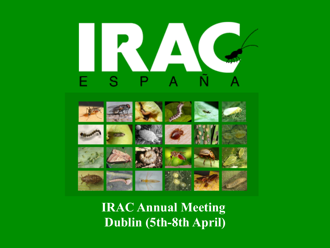# RUA S P F

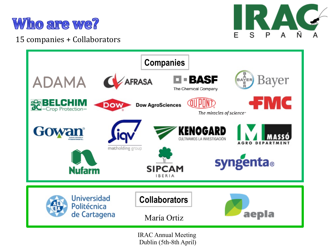

#### 15 companies + Collaborators





Dublin (5th-8th April)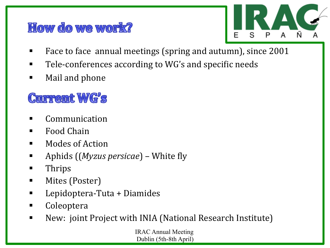#### How do we work?



- Face to face annual meetings (spring and autumn), since 2001
- Tele-conferences according to WG's and specific needs
- Mail and phone

## **Current WG's**

- **Communication**
- Food Chain
- $\blacksquare$  Modes of Action
- Aphids ((*Myzus persicae*) White fly
- Thrips
- Mites (Poster)
- Lepidoptera-Tuta + Diamides
- Coleoptera
- New: joint Project with INIA (National Research Institute)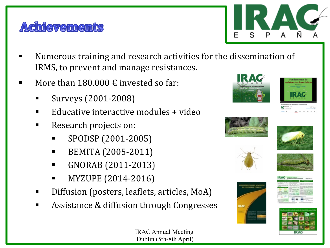



- Numerous training and research activities for the dissemination of IRMS, to prevent and manage resistances.
- More than  $180.000 \text{ } \in$  invested so far:
	- § Surveys (2001-2008)
	- Educative interactive modules + video
	- Research projects on:
		- § SPODSP (2001-2005)
		- § BEMITA (2005-2011)
		- § GNORAB (2011-2013)
		- § MYZUPE (2014-2016)
	- Diffusion (posters, leaflets, articles, MoA)
	- Assistance & diffusion through Congresses

















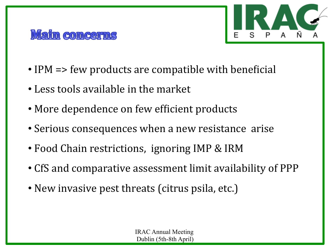



- IPM  $\Rightarrow$  few products are compatible with beneficial
- Less tools available in the market
- More dependence on few efficient products
- Serious consequences when a new resistance arise
- Food Chain restrictions, ignoring IMP & IRM
- CfS and comparative assessment limit availability of PPP
- New invasive pest threats (citrus psila, etc.)